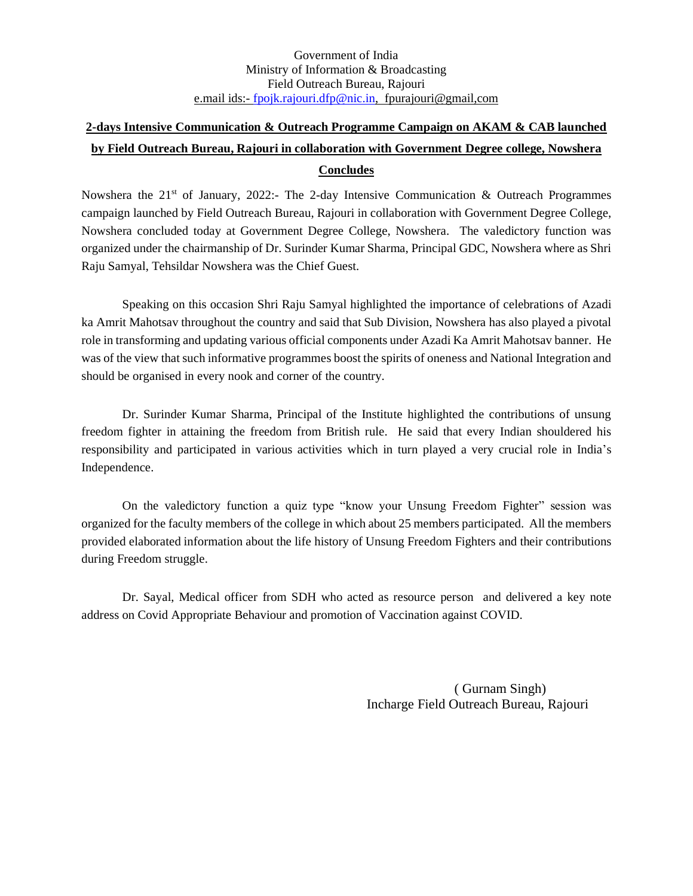Government of India Ministry of Information & Broadcasting Field Outreach Bureau, Rajouri e.mail ids:- [fpojk.rajouri.dfp@nic.in,](mailto:fpojk.rajouri.dfp@nic.in) fpurajouri@gmail,com

## **2-days Intensive Communication & Outreach Programme Campaign on AKAM & CAB launched by Field Outreach Bureau, Rajouri in collaboration with Government Degree college, Nowshera Concludes**

Nowshera the 21<sup>st</sup> of January, 2022:- The 2-day Intensive Communication & Outreach Programmes campaign launched by Field Outreach Bureau, Rajouri in collaboration with Government Degree College, Nowshera concluded today at Government Degree College, Nowshera. The valedictory function was organized under the chairmanship of Dr. Surinder Kumar Sharma, Principal GDC, Nowshera where as Shri Raju Samyal, Tehsildar Nowshera was the Chief Guest.

Speaking on this occasion Shri Raju Samyal highlighted the importance of celebrations of Azadi ka Amrit Mahotsav throughout the country and said that Sub Division, Nowshera has also played a pivotal role in transforming and updating various official components under Azadi Ka Amrit Mahotsav banner. He was of the view that such informative programmes boost the spirits of oneness and National Integration and should be organised in every nook and corner of the country.

Dr. Surinder Kumar Sharma, Principal of the Institute highlighted the contributions of unsung freedom fighter in attaining the freedom from British rule. He said that every Indian shouldered his responsibility and participated in various activities which in turn played a very crucial role in India's Independence.

On the valedictory function a quiz type "know your Unsung Freedom Fighter" session was organized for the faculty members of the college in which about 25 members participated. All the members provided elaborated information about the life history of Unsung Freedom Fighters and their contributions during Freedom struggle.

Dr. Sayal, Medical officer from SDH who acted as resource person and delivered a key note address on Covid Appropriate Behaviour and promotion of Vaccination against COVID.

> ( Gurnam Singh) Incharge Field Outreach Bureau, Rajouri